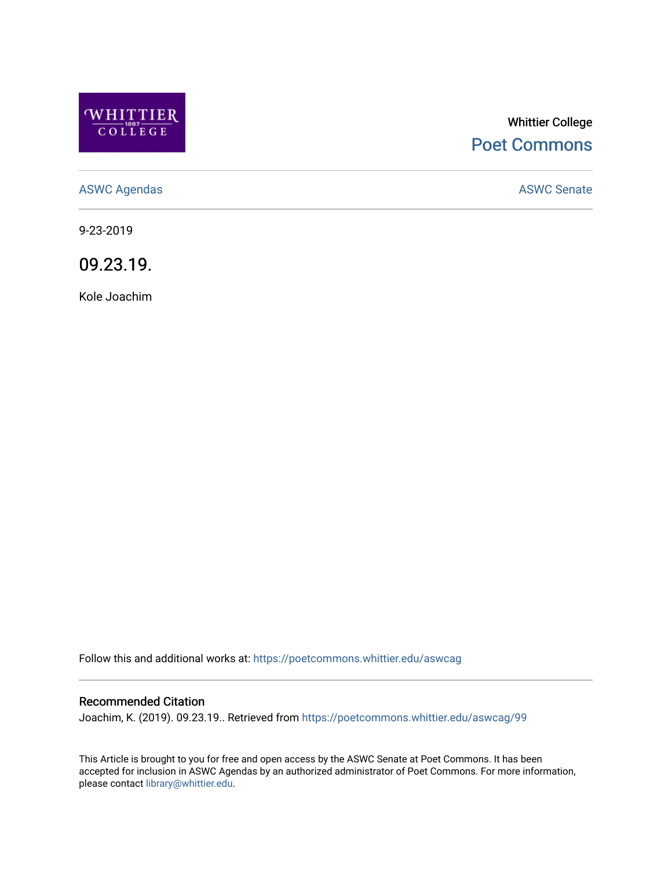

# Whittier College [Poet Commons](https://poetcommons.whittier.edu/)

[ASWC Agendas](https://poetcommons.whittier.edu/aswcag) **ASWC Senate** 

9-23-2019

09.23.19.

Kole Joachim

Follow this and additional works at: [https://poetcommons.whittier.edu/aswcag](https://poetcommons.whittier.edu/aswcag?utm_source=poetcommons.whittier.edu%2Faswcag%2F99&utm_medium=PDF&utm_campaign=PDFCoverPages) 

## Recommended Citation

Joachim, K. (2019). 09.23.19.. Retrieved from [https://poetcommons.whittier.edu/aswcag/99](https://poetcommons.whittier.edu/aswcag/99?utm_source=poetcommons.whittier.edu%2Faswcag%2F99&utm_medium=PDF&utm_campaign=PDFCoverPages)

This Article is brought to you for free and open access by the ASWC Senate at Poet Commons. It has been accepted for inclusion in ASWC Agendas by an authorized administrator of Poet Commons. For more information, please contact [library@whittier.edu](mailto:library@whittier.edu).